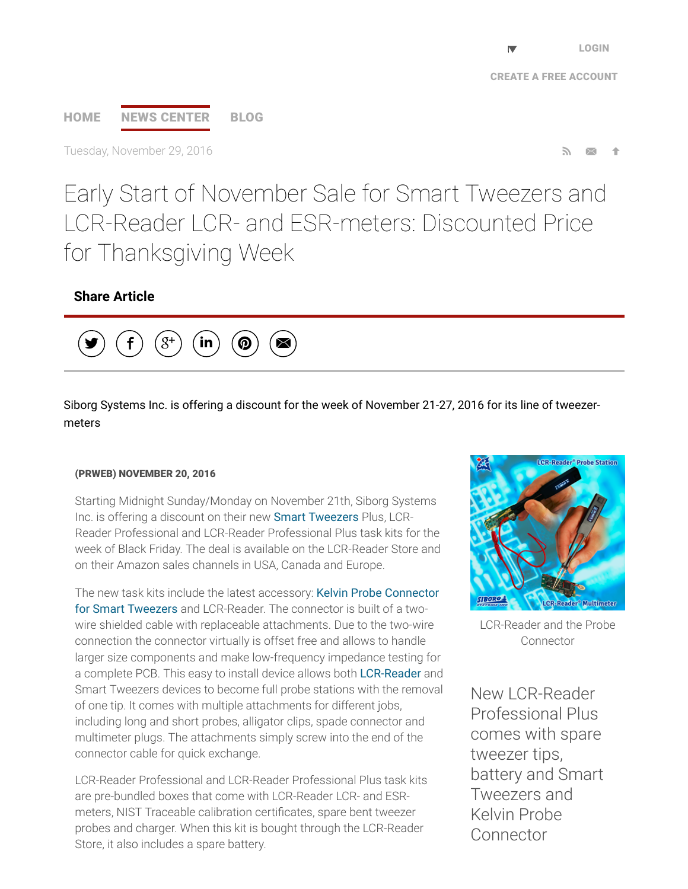# [HOME](http://www.prweb.com/) NEWS [CENTER](http://www.prweb.com/recentnews/) [BLOG](http://www.cision.com/us/blog/)

Tuesday, November 29, 2016

Early Start of November Sale for Smart Tweezers and LCR-Reader LCR- and ESR-meters: Discounted Price for Thanksgiving Week

### Share Article



Siborg Systems Inc. is offering a discount for the week of November 21-27, 2016 for its line of tweezermeters

#### (PRWEB) NOVEMBER 20, 2016

Starting Midnight Sunday/Monday on November 21th, Siborg Systems Inc. is offering a discount on their new [Smart Tweezers](http://www.prweb.net/Redirect.aspx?id=aHR0cDovL3d3dy5zbWFydHR3ZWV6ZXJzLnVz) Plus, LCR-Reader Professional and LCR-Reader Professional Plus task kits for the week of Black Friday. The deal is available on the LCR-Reader Store and on their Amazon sales channels in USA, Canada and Europe.

[The new task kits include the latest accessory: Kelvin Probe Connector](http://www.prweb.net/Redirect.aspx?id=aHR0cDovL3d3dy5zbWFydHR3ZWV6ZXJzLmlu) for Smart Tweezers and LCR-Reader. The connector is built of a twowire shielded cable with replaceable attachments. Due to the two-wire connection the connector virtually is offset free and allows to handle larger size components and make low-frequency impedance testing for a complete PCB. This easy to install device allows both [LCR-Reader](http://www.prweb.net/Redirect.aspx?id=aHR0cDovL3d3dy5sY3ItcmVhZGVyLmNh) and Smart Tweezers devices to become full probe stations with the removal of one tip. It comes with multiple attachments for different jobs, including long and short probes, alligator clips, spade connector and multimeter plugs. The attachments simply screw into the end of the connector cable for quick exchange.

LCR-Reader Professional and LCR-Reader Professional Plus task kits are pre-bundled boxes that come with LCR-Reader LCR- and ESRmeters, NIST Traceable calibration certificates, spare bent tweezer probes and charger. When this kit is bought through the LCR-Reader Store, it also includes a spare battery.



LCR-Reader and the Probe Connector

New LCR-Reader Professional Plus comes with spare tweezer tips, battery and Smart Tweezers and Kelvin Probe Connector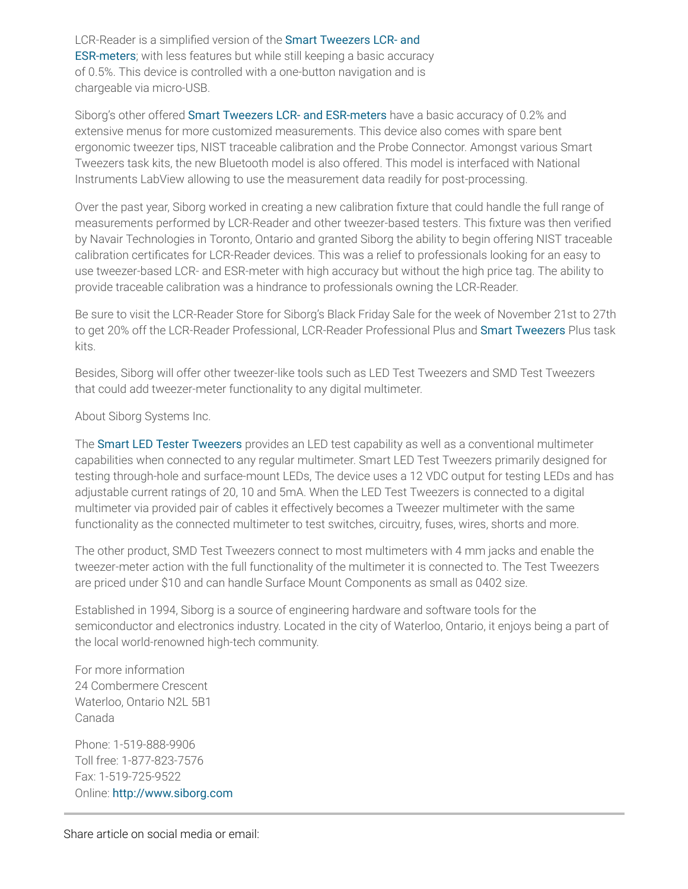LCR-Reader is a simplified version of the Smart Tweezers LCR- and [ESR-meters; with less features but while still keeping a basic accura](http://www.prweb.net/Redirect.aspx?id=aHR0cDovL3d3dy5zbWFydHR3ZWV6ZXJzLmNh)cy of 0.5%. This device is controlled with a one-button navigation and is chargeable via micro-USB.

Siborg's other offered **Smart Tweezers LCR- and ESR-meters** have a basic accuracy of 0.2% and extensive menus for more customized measurements. This device also comes with spare bent ergonomic tweezer tips, NIST traceable calibration and the Probe Connector. Amongst various Smart Tweezers task kits, the new Bluetooth model is also offered. This model is interfaced with National Instruments LabView allowing to use the measurement data readily for post-processing.

Over the past year, Siborg worked in creating a new calibration fixture that could handle the full range of measurements performed by LCR-Reader and other tweezer-based testers. This fixture was then verified by Navair Technologies in Toronto, Ontario and granted Siborg the ability to begin offering NIST traceable calibration certificates for LCR-Reader devices. This was a relief to professionals looking for an easy to use tweezer-based LCR- and ESR-meter with high accuracy but without the high price tag. The ability to provide traceable calibration was a hindrance to professionals owning the LCR-Reader.

Be sure to visit the LCR-Reader Store for Siborg's Black Friday Sale for the week of November 21st to 27th to get 20% off the LCR-Reader Professional, LCR-Reader Professional Plus and [Smart Tweezers](http://www.prweb.net/Redirect.aspx?id=aHR0cDovL3d3dy5zbWFydHR3ZWV6ZXJzLmNvbS5ydQ==) Plus task kits.

Besides, Siborg will offer other tweezer-like tools such as LED Test Tweezers and SMD Test Tweezers that could add tweezer-meter functionality to any digital multimeter.

About Siborg Systems Inc.

The [Smart LED Tester Tweezers](http://www.prweb.net/Redirect.aspx?id=aHR0cDovL3d3dy5sY3ItcmVhZGVyLmNvbS9sZWRfdGVzdF90d2VlemVycy5odG1s) provides an LED test capability as well as a conventional multimeter capabilities when connected to any regular multimeter. Smart LED Test Tweezers primarily designed for testing through-hole and surface-mount LEDs, The device uses a 12 VDC output for testing LEDs and has adjustable current ratings of 20, 10 and 5mA. When the LED Test Tweezers is connected to a digital multimeter via provided pair of cables it effectively becomes a Tweezer multimeter with the same functionality as the connected multimeter to test switches, circuitry, fuses, wires, shorts and more.

The other product, SMD Test Tweezers connect to most multimeters with 4 mm jacks and enable the tweezer-meter action with the full functionality of the multimeter it is connected to. The Test Tweezers are priced under \$10 and can handle Surface Mount Components as small as 0402 size.

Established in 1994, Siborg is a source of engineering hardware and software tools for the semiconductor and electronics industry. Located in the city of Waterloo, Ontario, it enjoys being a part of the local world-renowned high-tech community.

For more information 24 Combermere Crescent Waterloo, Ontario N2L 5B1 Canada

Phone: 1-519-888-9906 Toll free: 1-877-823-7576 Fax: 1-519-725-9522 Online: [http://www.siborg.com](http://www.prweb.net/Redirect.aspx?id=aHR0cDovL3d3dy5zaWJvcmcuY29t)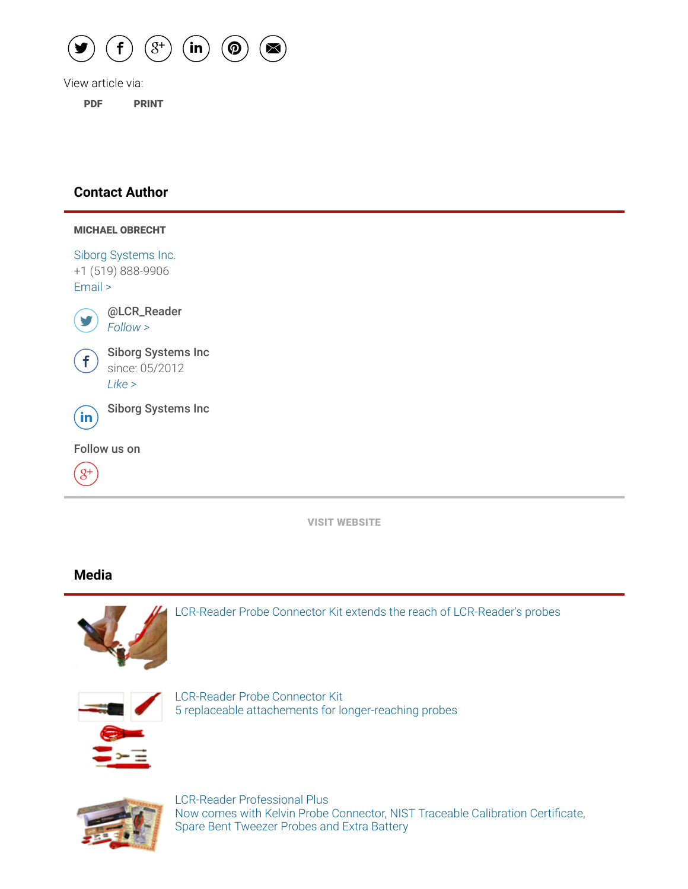

View article via:

[PDF](http://www.prweb.com/pdfdownload/13846372.pdf) [PRINT](http://www.prweb.com/printer/13846372.htm)

#### Contact Author

| <b>MICHAEL OBRECHT</b>                              |  |
|-----------------------------------------------------|--|
| Siborg Systems Inc.<br>+1 (519) 888-9906<br>Email > |  |
| @LCR_Reader<br>Follow >                             |  |
| <b>Siborg Systems Inc</b><br>since: 05/2012<br>Like |  |
| <b>Siborg Systems Inc</b><br>$\dot{\mathbf{m}}$     |  |
| Follow us on                                        |  |
| $8^+$                                               |  |

VISIT [WEBSITE](http://www.prweb.net/Redirect.aspx?id=aHR0cDovL3d3dy5sY3ItcmVhZGVyLmNvbQ==)

## Media



[LCR-Reader Probe Connector Kit extends the reach of LCR-Reader's probes](http://ww1.prweb.com/prfiles/2016/06/21/13846372/measurementone.jpg)



LCR-Reader Probe Connector Kit [5 replaceable attachements for longer-reaching probes](http://ww1.prweb.com/prfiles/2016/06/21/13846372/pieces.jpg)



LCR-Reader Professional Plus Now comes with Kelvin Probe Connector, NIST Traceable Calibration Certificate, Spare Bent Tweezer Probes and Extra Battery